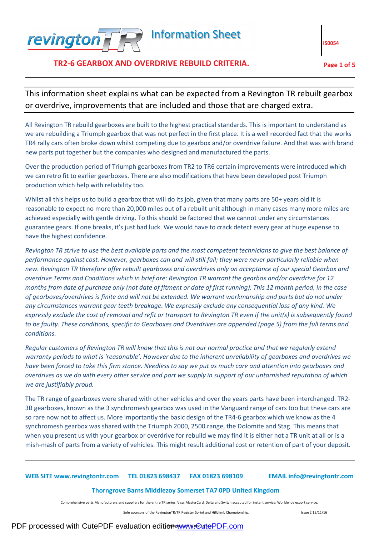

# **TR2-6 GEARBOX AND OVERDRIVE REBUILD CRITERIA. Page 1 of 5**

**IS0054** 

This information sheet explains what can be expected from a Revington TR rebuilt gearbox or overdrive, improvements that are included and those that are charged extra.

All Revington TR rebuild gearboxes are built to the highest practical standards. This is important to understand as we are rebuilding a Triumph gearbox that was not perfect in the first place. It is a well recorded fact that the works TR4 rally cars often broke down whilst competing due to gearbox and/or overdrive failure. And that was with brand new parts put together but the companies who designed and manufactured the parts.

Over the production period of Triumph gearboxes from TR2 to TR6 certain improvements were introduced which we can retro fit to earlier gearboxes. There are also modifications that have been developed post Triumph production which help with reliability too.

Whilst all this helps us to build a gearbox that will do its job, given that many parts are 50+ years old it is reasonable to expect no more than 20,000 miles out of a rebuilt unit although in many cases many more miles are achieved especially with gentle driving. To this should be factored that we cannot under any circumstances guarantee gears. If one breaks, it's just bad luck. We would have to crack detect every gear at huge expense to have the highest confidence.

*Revington TR strive to use the best available parts and the most competent technicians to give the best balance of performance against cost. However, gearboxes can and will still fail; they were never particularly reliable when new. Revington TR therefore offer rebuilt gearboxes and overdrives only on acceptance of our special Gearbox and overdrive Terms and Conditions which in brief are: Revington TR warrant the gearbox and/or overdrive for 12 months from date of purchase only (not date of fitment or date of first running). This 12 month period, in the case of gearboxes/overdrives is finite and will not be extended. We warrant workmanship and parts but do not under any circumstances warrant gear teeth breakage. We expressly exclude any consequential loss of any kind. We expressly exclude the cost of removal and refit or transport to Revington TR even if the unit(s) is subsequently found to be faulty. These conditions, specific to Gearboxes and Overdrives are appended (page 5) from the full terms and conditions.*

*Regular customers of Revington TR will know that this is not our normal practice and that we regularly extend warranty periods to what is 'reasonable'. However due to the inherent unreliability of gearboxes and overdrives we have been forced to take this firm stance. Needless to say we put as much care and attention into gearboxes and overdrives as we do with every other service and part we supply in support of our untarnished reputation of which we are justifiably proud.*

The TR range of gearboxes were shared with other vehicles and over the years parts have been interchanged. TR2- 3B gearboxes, known as the 3 synchromesh gearbox was used in the Vanguard range of cars too but these cars are so rare now not to affect us. More importantly the basic design of the TR4-6 gearbox which we know as the 4 synchromesh gearbox was shared with the Triumph 2000, 2500 range, the Dolomite and Stag. This means that when you present us with your gearbox or overdrive for rebuild we may find it is either not a TR unit at all or is a mish-mash of parts from a variety of vehicles. This might result additional cost or retention of part of your deposit.

# **WEB SITE www.revingtontr.com TEL 01823 698437 FAX 01823 698109 EMAIL info@revingtontr.com**

#### **Thorngrove Barns Middlezoy Somerset TA7 0PD United Kingdom**

Comprehensive parts Manufacturers and suppliers for the entire TR series. Visa, MasterCard, Delta and Switch accepted for instant service. Worldwide export service.

Sole sponsors of the RevingtonTR/TR Register Sprint and Hillclimb Championship. In the International Spanish Spanish Spanish Spanish Spanish Spanish Spanish Spanish Spanish Spanish Spanish Spanish Spanish Spanish Spanish S

# PDF processed with CutePDF evaluation edition [www.CutePDF.com](http://www.cutepdf.com)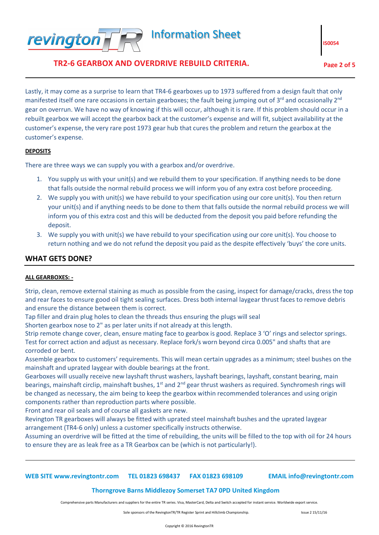

**TR2-6 GEARBOX AND OVERDRIVE REBUILD CRITERIA. Page 2 of 5**

**IS0054** 

Lastly, it may come as a surprise to learn that TR4-6 gearboxes up to 1973 suffered from a design fault that only manifested itself one rare occasions in certain gearboxes; the fault being jumping out of 3<sup>rd</sup> and occasionally 2<sup>nd</sup> gear on overrun. We have no way of knowing if this will occur, although it is rare. If this problem should occur in a rebuilt gearbox we will accept the gearbox back at the customer's expense and will fit, subject availability at the customer's expense, the very rare post 1973 gear hub that cures the problem and return the gearbox at the customer's expense.

### **DEPOSITS**

There are three ways we can supply you with a gearbox and/or overdrive.

- 1. You supply us with your unit(s) and we rebuild them to your specification. If anything needs to be done that falls outside the normal rebuild process we will inform you of any extra cost before proceeding.
- 2. We supply you with unit(s) we have rebuild to your specification using our core unit(s). You then return your unit(s) and if anything needs to be done to them that falls outside the normal rebuild process we will inform you of this extra cost and this will be deducted from the deposit you paid before refunding the deposit.
- 3. We supply you with unit(s) we have rebuild to your specification using our core unit(s). You choose to return nothing and we do not refund the deposit you paid as the despite effectively 'buys' the core units.

# **WHAT GETS DONE?**

#### **ALL GEARBOXES: -**

Strip, clean, remove external staining as much as possible from the casing, inspect for damage/cracks, dress the top and rear faces to ensure good oil tight sealing surfaces. Dress both internal laygear thrust faces to remove debris and ensure the distance between them is correct.

Tap filler and drain plug holes to clean the threads thus ensuring the plugs will seal

Shorten gearbox nose to 2" as per later units if not already at this length.

Strip remote change cover, clean, ensure mating face to gearbox is good. Replace 3 'O' rings and selector springs. Test for correct action and adjust as necessary. Replace fork/s worn beyond circa 0.005" and shafts that are corroded or bent.

Assemble gearbox to customers' requirements. This will mean certain upgrades as a minimum; steel bushes on the mainshaft and uprated laygear with double bearings at the front.

Gearboxes will usually receive new layshaft thrust washers, layshaft bearings, layshaft, constant bearing, main bearings, mainshaft circlip, mainshaft bushes, 1<sup>st</sup> and 2<sup>nd</sup> gear thrust washers as required. Synchromesh rings will be changed as necessary, the aim being to keep the gearbox within recommended tolerances and using origin components rather than reproduction parts where possible.

Front and rear oil seals and of course all gaskets are new.

Revington TR gearboxes will always be fitted with uprated steel mainshaft bushes and the uprated laygear arrangement (TR4-6 only) unless a customer specifically instructs otherwise.

Assuming an overdrive will be fitted at the time of rebuilding, the units will be filled to the top with oil for 24 hours to ensure they are as leak free as a TR Gearbox can be (which is not particularly!).

#### **WEB SITE www.revingtontr.com TEL 01823 698437 FAX 01823 698109 EMAIL info@revingtontr.com**

# **Thorngrove Barns Middlezoy Somerset TA7 0PD United Kingdom**

Comprehensive parts Manufacturers and suppliers for the entire TR series. Visa, MasterCard, Delta and Switch accepted for instant service. Worldwide export service.

Sole sponsors of the RevingtonTR/TR Register Sprint and Hillclimb Championship. In the Superson Superson Superson Superson Superson Superson Superson Superson Superson Superson Superson Superson Superson Superson Superson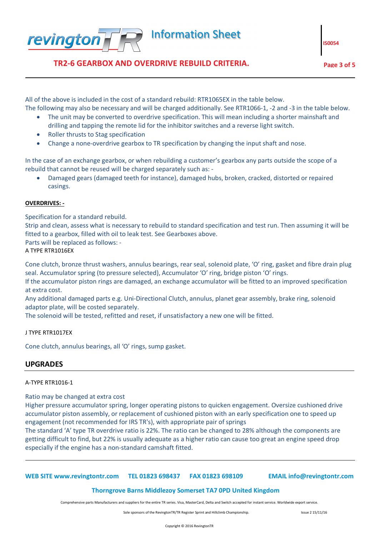

**TR2-6 GEARBOX AND OVERDRIVE REBUILD CRITERIA. Page 3 of 5**

**IS0054** 

All of the above is included in the cost of a standard rebuild: RTR1065EX in the table below. The following may also be necessary and will be charged additionally. See RTR1066-1, -2 and -3 in the table below.

- The unit may be converted to overdrive specification. This will mean including a shorter mainshaft and drilling and tapping the remote lid for the inhibitor switches and a reverse light switch.
- · Roller thrusts to Stag specification
- · Change a none-overdrive gearbox to TR specification by changing the input shaft and nose.

In the case of an exchange gearbox, or when rebuilding a customer's gearbox any parts outside the scope of a rebuild that cannot be reused will be charged separately such as: -

· Damaged gears (damaged teeth for instance), damaged hubs, broken, cracked, distorted or repaired casings.

### **OVERDRIVES: -**

Specification for a standard rebuild.

Strip and clean, assess what is necessary to rebuild to standard specification and test run. Then assuming it will be fitted to a gearbox, filled with oil to leak test. See Gearboxes above.

Parts will be replaced as follows: -

A TYPE RTR1016EX

Cone clutch, bronze thrust washers, annulus bearings, rear seal, solenoid plate, 'O' ring, gasket and fibre drain plug seal. Accumulator spring (to pressure selected), Accumulator 'O' ring, bridge piston 'O' rings.

If the accumulator piston rings are damaged, an exchange accumulator will be fitted to an improved specification at extra cost.

Any additional damaged parts e.g. Uni-Directional Clutch, annulus, planet gear assembly, brake ring, solenoid adaptor plate, will be costed separately.

The solenoid will be tested, refitted and reset, if unsatisfactory a new one will be fitted.

J TYPE RTR1017EX

Cone clutch, annulus bearings, all 'O' rings, sump gasket.

# **UPGRADES**

# A-TYPE RTR1016-1

# Ratio may be changed at extra cost

Higher pressure accumulator spring, longer operating pistons to quicken engagement. Oversize cushioned drive accumulator piston assembly, or replacement of cushioned piston with an early specification one to speed up engagement (not recommended for IRS TR's), with appropriate pair of springs

The standard 'A' type TR overdrive ratio is 22%. The ratio can be changed to 28% although the components are getting difficult to find, but 22% is usually adequate as a higher ratio can cause too great an engine speed drop especially if the engine has a non-standard camshaft fitted.

**WEB SITE www.revingtontr.com TEL 01823 698437 FAX 01823 698109 EMAIL info@revingtontr.com**

# **Thorngrove Barns Middlezoy Somerset TA7 0PD United Kingdom**

Comprehensive parts Manufacturers and suppliers for the entire TR series. Visa, MasterCard, Delta and Switch accepted for instant service. Worldwide export service.

Sole sponsors of the RevingtonTR/TR Register Sprint and Hillclimb Championship. In the Superson Superson Superson Superson Superson Superson Superson Superson Superson Superson Superson Superson Superson Superson Superson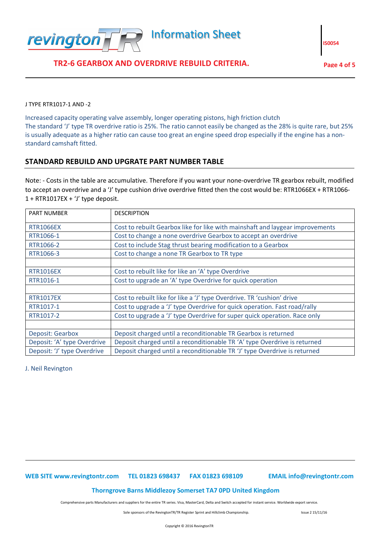

J TYPE RTR1017-1 AND -2

Increased capacity operating valve assembly, longer operating pistons, high friction clutch The standard 'J' type TR overdrive ratio is 25%. The ratio cannot easily be changed as the 28% is quite rare, but 25% is usually adequate as a higher ratio can cause too great an engine speed drop especially if the engine has a nonstandard camshaft fitted.

# **STANDARD REBUILD AND UPGRATE PART NUMBER TABLE**

Note: - Costs in the table are accumulative. Therefore if you want your none-overdrive TR gearbox rebuilt, modified to accept an overdrive and a 'J' type cushion drive overdrive fitted then the cost would be: RTR1066EX + RTR1066-  $1 + RTR1017EX + 'J'$  type deposit.

| <b>PART NUMBER</b>          | <b>DESCRIPTION</b>                                                            |
|-----------------------------|-------------------------------------------------------------------------------|
| <b>RTR1066EX</b>            | Cost to rebuilt Gearbox like for like with mainshaft and laygear improvements |
| RTR1066-1                   | Cost to change a none overdrive Gearbox to accept an overdrive                |
| RTR1066-2                   | Cost to include Stag thrust bearing modification to a Gearbox                 |
| RTR1066-3                   | Cost to change a none TR Gearbox to TR type                                   |
|                             |                                                                               |
| <b>RTR1016EX</b>            | Cost to rebuilt like for like an 'A' type Overdrive                           |
| RTR1016-1                   | Cost to upgrade an 'A' type Overdrive for quick operation                     |
|                             |                                                                               |
| <b>RTR1017EX</b>            | Cost to rebuilt like for like a 'J' type Overdrive. TR 'cushion' drive        |
| RTR1017-1                   | Cost to upgrade a 'J' type Overdrive for quick operation. Fast road/rally     |
| RTR1017-2                   | Cost to upgrade a 'J' type Overdrive for super quick operation. Race only     |
|                             |                                                                               |
| <b>Deposit: Gearbox</b>     | Deposit charged until a reconditionable TR Gearbox is returned                |
| Deposit: 'A' type Overdrive | Deposit charged until a reconditionable TR 'A' type Overdrive is returned     |
| Deposit: 'J' type Overdrive | Deposit charged until a reconditionable TR 'J' type Overdrive is returned     |

J. Neil Revington

#### **WEB SITE www.revingtontr.com TEL 01823 698437 FAX 01823 698109 EMAIL info@revingtontr.com**

#### **Thorngrove Barns Middlezoy Somerset TA7 0PD United Kingdom**

Comprehensive parts Manufacturers and suppliers for the entire TR series. Visa, MasterCard, Delta and Switch accepted for instant service. Worldwide export service.

Sole sponsors of the RevingtonTR/TR Register Sprint and Hillclimb Championship. In the Spanish Super 2 15/11/16